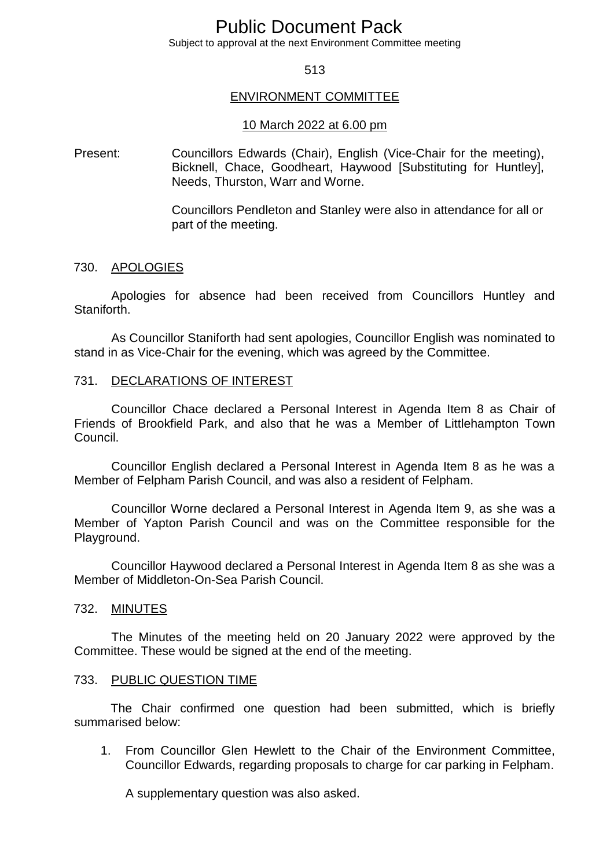# Public Document Pack

Subject to approval at the next Environment Committee meeting

## 513

## ENVIRONMENT COMMITTEE

#### 10 March 2022 at 6.00 pm

Present: Councillors Edwards (Chair), English (Vice-Chair for the meeting), Bicknell, Chace, Goodheart, Haywood [Substituting for Huntley], Needs, Thurston, Warr and Worne.

> Councillors Pendleton and Stanley were also in attendance for all or part of the meeting.

#### 730. APOLOGIES

Apologies for absence had been received from Councillors Huntley and Staniforth.

As Councillor Staniforth had sent apologies, Councillor English was nominated to stand in as Vice-Chair for the evening, which was agreed by the Committee.

## 731. DECLARATIONS OF INTEREST

Councillor Chace declared a Personal Interest in Agenda Item 8 as Chair of Friends of Brookfield Park, and also that he was a Member of Littlehampton Town Council.

Councillor English declared a Personal Interest in Agenda Item 8 as he was a Member of Felpham Parish Council, and was also a resident of Felpham.

Councillor Worne declared a Personal Interest in Agenda Item 9, as she was a Member of Yapton Parish Council and was on the Committee responsible for the Playground.

Councillor Haywood declared a Personal Interest in Agenda Item 8 as she was a Member of Middleton-On-Sea Parish Council.

## 732. MINUTES

The Minutes of the meeting held on 20 January 2022 were approved by the Committee. These would be signed at the end of the meeting.

#### 733. PUBLIC QUESTION TIME

The Chair confirmed one question had been submitted, which is briefly summarised below:

1. From Councillor Glen Hewlett to the Chair of the Environment Committee, Councillor Edwards, regarding proposals to charge for car parking in Felpham.

A supplementary question was also asked.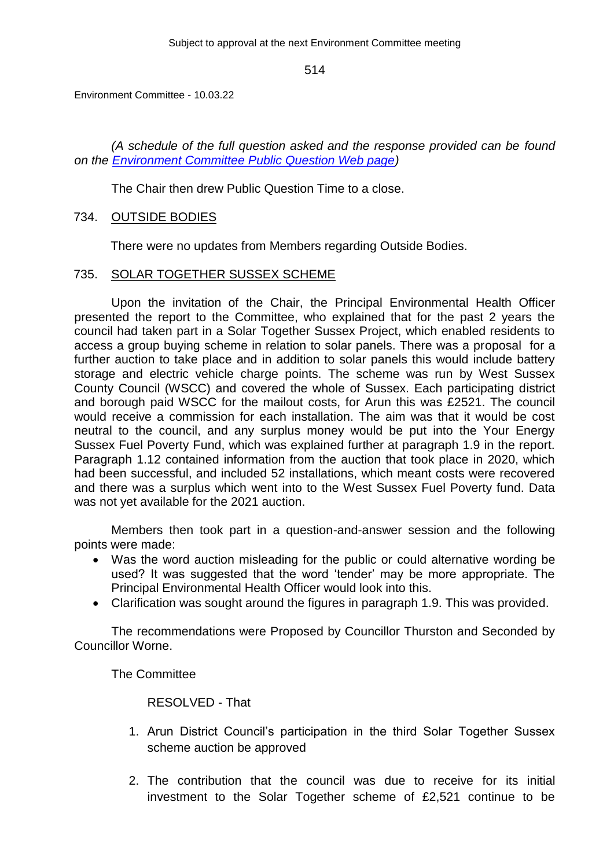Environment Committee - 10.03.22

*(A schedule of the full question asked and the response provided can be found on the [Environment Committee Public Question Web page\)](https://democracy.arun.gov.uk/documents/b4936/Environment%20Committee%20-%20Public%20Question%20Time%20-%2010%20March%202022%2010th-Mar-2022%2018.00%20Environment%20Commi.pdf?T=9)*

The Chair then drew Public Question Time to a close.

## 734. OUTSIDE BODIES

There were no updates from Members regarding Outside Bodies.

## 735. SOLAR TOGETHER SUSSEX SCHEME

Upon the invitation of the Chair, the Principal Environmental Health Officer presented the report to the Committee, who explained that for the past 2 years the council had taken part in a Solar Together Sussex Project, which enabled residents to access a group buying scheme in relation to solar panels. There was a proposal for a further auction to take place and in addition to solar panels this would include battery storage and electric vehicle charge points. The scheme was run by West Sussex County Council (WSCC) and covered the whole of Sussex. Each participating district and borough paid WSCC for the mailout costs, for Arun this was £2521. The council would receive a commission for each installation. The aim was that it would be cost neutral to the council, and any surplus money would be put into the Your Energy Sussex Fuel Poverty Fund, which was explained further at paragraph 1.9 in the report. Paragraph 1.12 contained information from the auction that took place in 2020, which had been successful, and included 52 installations, which meant costs were recovered and there was a surplus which went into to the West Sussex Fuel Poverty fund. Data was not yet available for the 2021 auction.

Members then took part in a question-and-answer session and the following points were made:

- Was the word auction misleading for the public or could alternative wording be used? It was suggested that the word 'tender' may be more appropriate. The Principal Environmental Health Officer would look into this.
- Clarification was sought around the figures in paragraph 1.9. This was provided.

The recommendations were Proposed by Councillor Thurston and Seconded by Councillor Worne.

The Committee

RESOLVED - That

- 1. Arun District Council's participation in the third Solar Together Sussex scheme auction be approved
- 2. The contribution that the council was due to receive for its initial investment to the Solar Together scheme of £2,521 continue to be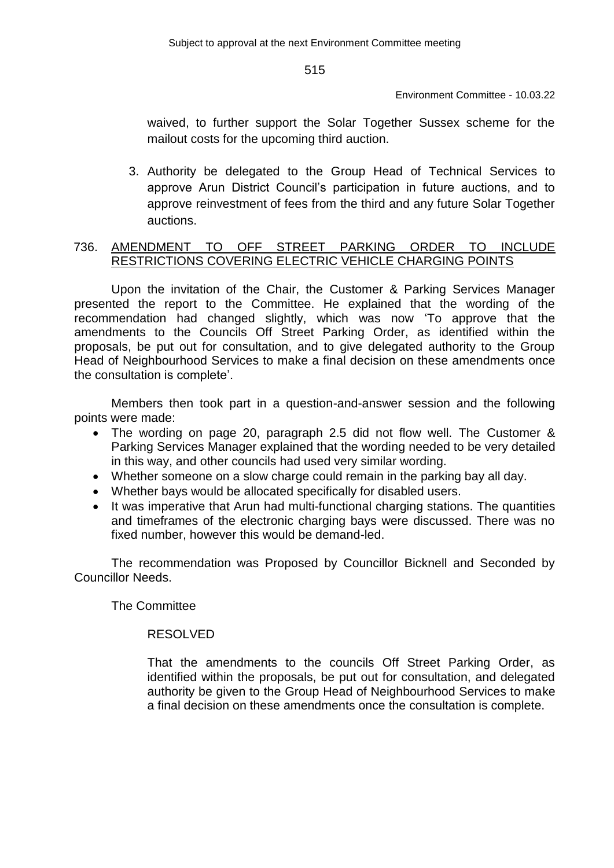Environment Committee - 10.03.22

waived, to further support the Solar Together Sussex scheme for the mailout costs for the upcoming third auction.

3. Authority be delegated to the Group Head of Technical Services to approve Arun District Council's participation in future auctions, and to approve reinvestment of fees from the third and any future Solar Together auctions.

# 736. AMENDMENT TO OFF STREET PARKING ORDER TO INCLUDE RESTRICTIONS COVERING ELECTRIC VEHICLE CHARGING POINTS

Upon the invitation of the Chair, the Customer & Parking Services Manager presented the report to the Committee. He explained that the wording of the recommendation had changed slightly, which was now 'To approve that the amendments to the Councils Off Street Parking Order, as identified within the proposals, be put out for consultation, and to give delegated authority to the Group Head of Neighbourhood Services to make a final decision on these amendments once the consultation is complete'.

Members then took part in a question-and-answer session and the following points were made:

- The wording on page 20, paragraph 2.5 did not flow well. The Customer & Parking Services Manager explained that the wording needed to be very detailed in this way, and other councils had used very similar wording.
- Whether someone on a slow charge could remain in the parking bay all day.
- Whether bays would be allocated specifically for disabled users.
- It was imperative that Arun had multi-functional charging stations. The quantities and timeframes of the electronic charging bays were discussed. There was no fixed number, however this would be demand-led.

The recommendation was Proposed by Councillor Bicknell and Seconded by Councillor Needs.

The Committee

# RESOLVED

That the amendments to the councils Off Street Parking Order, as identified within the proposals, be put out for consultation, and delegated authority be given to the Group Head of Neighbourhood Services to make a final decision on these amendments once the consultation is complete.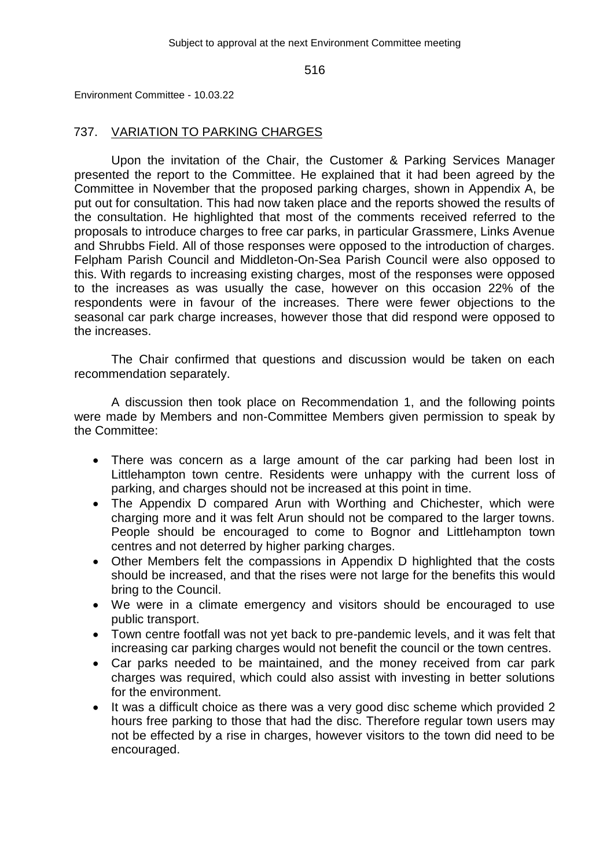Environment Committee - 10.03.22

# 737. VARIATION TO PARKING CHARGES

Upon the invitation of the Chair, the Customer & Parking Services Manager presented the report to the Committee. He explained that it had been agreed by the Committee in November that the proposed parking charges, shown in Appendix A, be put out for consultation. This had now taken place and the reports showed the results of the consultation. He highlighted that most of the comments received referred to the proposals to introduce charges to free car parks, in particular Grassmere, Links Avenue and Shrubbs Field. All of those responses were opposed to the introduction of charges. Felpham Parish Council and Middleton-On-Sea Parish Council were also opposed to this. With regards to increasing existing charges, most of the responses were opposed to the increases as was usually the case, however on this occasion 22% of the respondents were in favour of the increases. There were fewer objections to the seasonal car park charge increases, however those that did respond were opposed to the increases.

The Chair confirmed that questions and discussion would be taken on each recommendation separately.

A discussion then took place on Recommendation 1, and the following points were made by Members and non-Committee Members given permission to speak by the Committee:

- There was concern as a large amount of the car parking had been lost in Littlehampton town centre. Residents were unhappy with the current loss of parking, and charges should not be increased at this point in time.
- The Appendix D compared Arun with Worthing and Chichester, which were charging more and it was felt Arun should not be compared to the larger towns. People should be encouraged to come to Bognor and Littlehampton town centres and not deterred by higher parking charges.
- Other Members felt the compassions in Appendix D highlighted that the costs should be increased, and that the rises were not large for the benefits this would bring to the Council.
- We were in a climate emergency and visitors should be encouraged to use public transport.
- Town centre footfall was not yet back to pre-pandemic levels, and it was felt that increasing car parking charges would not benefit the council or the town centres.
- Car parks needed to be maintained, and the money received from car park charges was required, which could also assist with investing in better solutions for the environment.
- It was a difficult choice as there was a very good disc scheme which provided 2 hours free parking to those that had the disc. Therefore regular town users may not be effected by a rise in charges, however visitors to the town did need to be encouraged.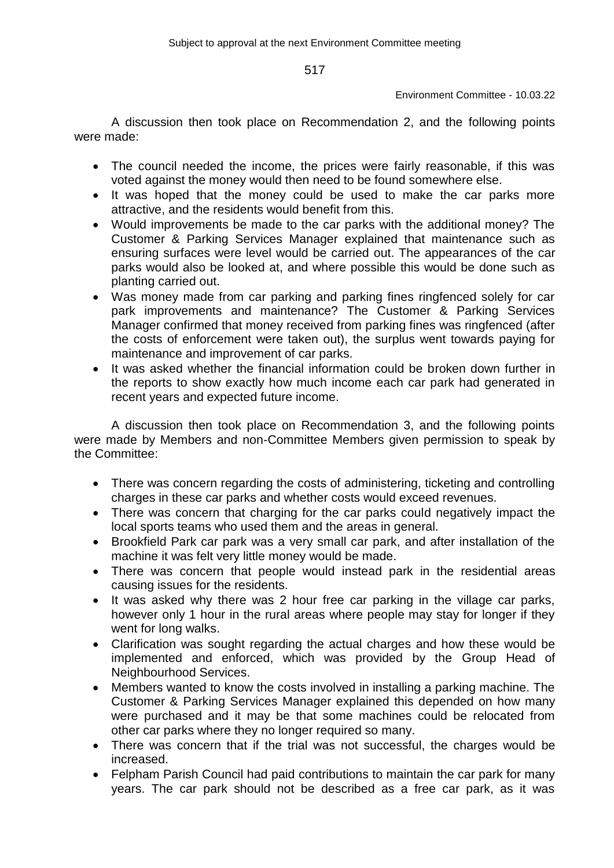Environment Committee - 10.03.22

A discussion then took place on Recommendation 2, and the following points were made:

- The council needed the income, the prices were fairly reasonable, if this was voted against the money would then need to be found somewhere else.
- It was hoped that the money could be used to make the car parks more attractive, and the residents would benefit from this.
- Would improvements be made to the car parks with the additional money? The Customer & Parking Services Manager explained that maintenance such as ensuring surfaces were level would be carried out. The appearances of the car parks would also be looked at, and where possible this would be done such as planting carried out.
- Was money made from car parking and parking fines ringfenced solely for car park improvements and maintenance? The Customer & Parking Services Manager confirmed that money received from parking fines was ringfenced (after the costs of enforcement were taken out), the surplus went towards paying for maintenance and improvement of car parks.
- It was asked whether the financial information could be broken down further in the reports to show exactly how much income each car park had generated in recent years and expected future income.

A discussion then took place on Recommendation 3, and the following points were made by Members and non-Committee Members given permission to speak by the Committee:

- There was concern regarding the costs of administering, ticketing and controlling charges in these car parks and whether costs would exceed revenues.
- There was concern that charging for the car parks could negatively impact the local sports teams who used them and the areas in general.
- Brookfield Park car park was a very small car park, and after installation of the machine it was felt very little money would be made.
- There was concern that people would instead park in the residential areas causing issues for the residents.
- It was asked why there was 2 hour free car parking in the village car parks, however only 1 hour in the rural areas where people may stay for longer if they went for long walks.
- Clarification was sought regarding the actual charges and how these would be implemented and enforced, which was provided by the Group Head of Neighbourhood Services.
- Members wanted to know the costs involved in installing a parking machine. The Customer & Parking Services Manager explained this depended on how many were purchased and it may be that some machines could be relocated from other car parks where they no longer required so many.
- There was concern that if the trial was not successful, the charges would be increased.
- Felpham Parish Council had paid contributions to maintain the car park for many years. The car park should not be described as a free car park, as it was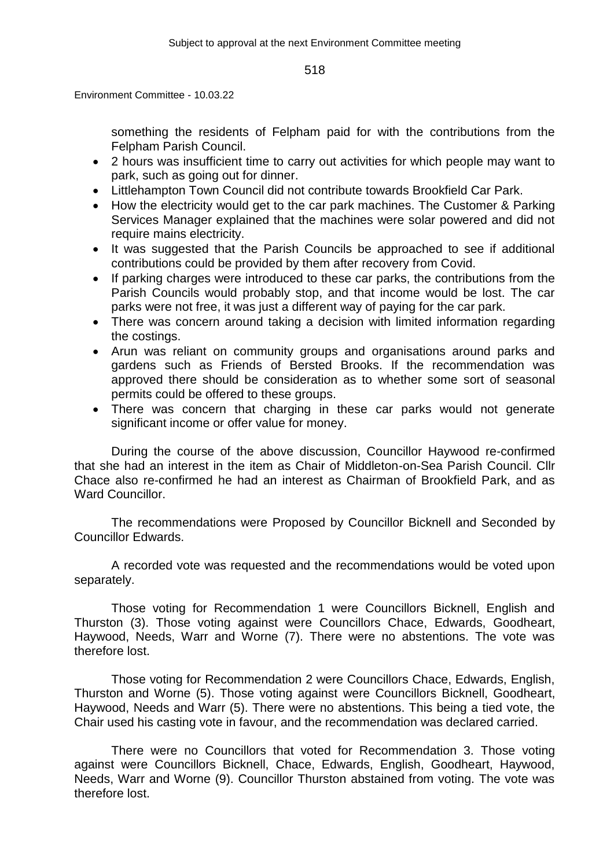Environment Committee - 10.03.22

something the residents of Felpham paid for with the contributions from the Felpham Parish Council.

- 2 hours was insufficient time to carry out activities for which people may want to park, such as going out for dinner.
- Littlehampton Town Council did not contribute towards Brookfield Car Park.
- How the electricity would get to the car park machines. The Customer & Parking Services Manager explained that the machines were solar powered and did not require mains electricity.
- It was suggested that the Parish Councils be approached to see if additional contributions could be provided by them after recovery from Covid.
- If parking charges were introduced to these car parks, the contributions from the Parish Councils would probably stop, and that income would be lost. The car parks were not free, it was just a different way of paying for the car park.
- There was concern around taking a decision with limited information regarding the costings.
- Arun was reliant on community groups and organisations around parks and gardens such as Friends of Bersted Brooks. If the recommendation was approved there should be consideration as to whether some sort of seasonal permits could be offered to these groups.
- There was concern that charging in these car parks would not generate significant income or offer value for money.

During the course of the above discussion, Councillor Haywood re-confirmed that she had an interest in the item as Chair of Middleton-on-Sea Parish Council. Cllr Chace also re-confirmed he had an interest as Chairman of Brookfield Park, and as Ward Councillor.

The recommendations were Proposed by Councillor Bicknell and Seconded by Councillor Edwards.

A recorded vote was requested and the recommendations would be voted upon separately.

Those voting for Recommendation 1 were Councillors Bicknell, English and Thurston (3). Those voting against were Councillors Chace, Edwards, Goodheart, Haywood, Needs, Warr and Worne (7). There were no abstentions. The vote was therefore lost.

Those voting for Recommendation 2 were Councillors Chace, Edwards, English, Thurston and Worne (5). Those voting against were Councillors Bicknell, Goodheart, Haywood, Needs and Warr (5). There were no abstentions. This being a tied vote, the Chair used his casting vote in favour, and the recommendation was declared carried.

There were no Councillors that voted for Recommendation 3. Those voting against were Councillors Bicknell, Chace, Edwards, English, Goodheart, Haywood, Needs, Warr and Worne (9). Councillor Thurston abstained from voting. The vote was therefore lost.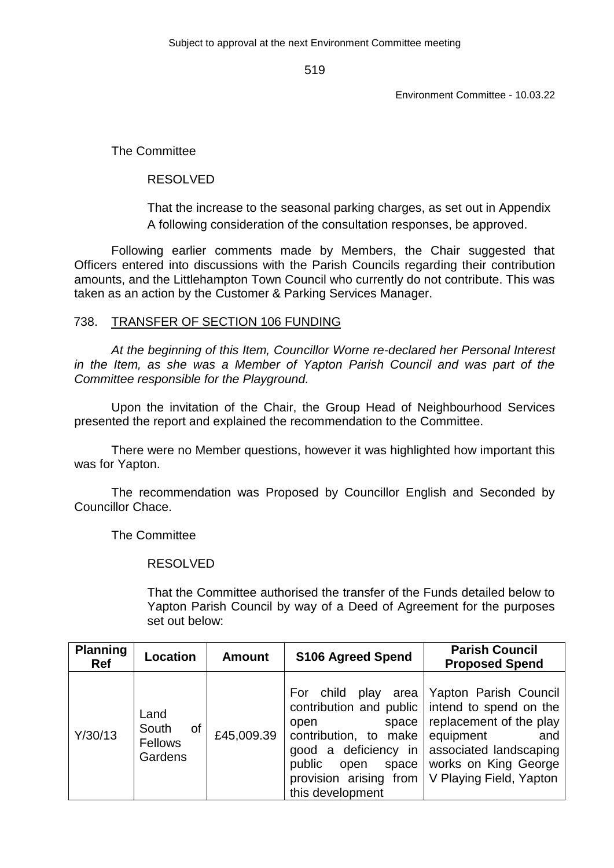Environment Committee - 10.03.22

The Committee

# RESOLVED

That the increase to the seasonal parking charges, as set out in Appendix A following consideration of the consultation responses, be approved.

Following earlier comments made by Members, the Chair suggested that Officers entered into discussions with the Parish Councils regarding their contribution amounts, and the Littlehampton Town Council who currently do not contribute. This was taken as an action by the Customer & Parking Services Manager.

# 738. TRANSFER OF SECTION 106 FUNDING

*At the beginning of this Item, Councillor Worne re-declared her Personal Interest in the Item, as she was a Member of Yapton Parish Council and was part of the Committee responsible for the Playground.*

Upon the invitation of the Chair, the Group Head of Neighbourhood Services presented the report and explained the recommendation to the Committee.

There were no Member questions, however it was highlighted how important this was for Yapton.

The recommendation was Proposed by Councillor English and Seconded by Councillor Chace.

The Committee

# RESOLVED

That the Committee authorised the transfer of the Funds detailed below to Yapton Parish Council by way of a Deed of Agreement for the purposes set out below:

| <b>Planning</b><br>Ref | Location                                  | <b>Amount</b> | <b>S106 Agreed Spend</b>                                                                                                                   | <b>Parish Council</b><br><b>Proposed Spend</b>                                                                                                                                                                               |
|------------------------|-------------------------------------------|---------------|--------------------------------------------------------------------------------------------------------------------------------------------|------------------------------------------------------------------------------------------------------------------------------------------------------------------------------------------------------------------------------|
| Y/30/13                | Land<br>South<br>of<br>Fellows<br>Gardens | £45,009.39    | play area<br>child<br>For<br>space<br>open<br>contribution, to make<br>good a deficiency in<br>public<br>space<br>open<br>this development | Yapton Parish Council<br>contribution and public intend to spend on the<br>replacement of the play<br>equipment<br>and<br>associated landscaping<br>works on King George<br>provision arising from   V Playing Field, Yapton |